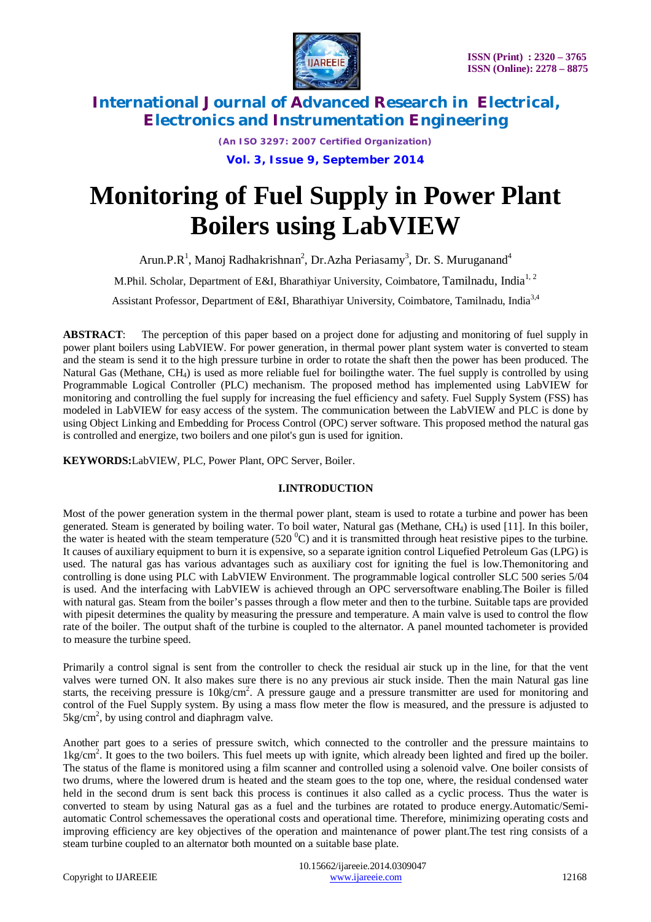

*(An ISO 3297: 2007 Certified Organization)* **Vol. 3, Issue 9, September 2014**

# **Monitoring of Fuel Supply in Power Plant Boilers using LabVIEW**

Arun.P.R<sup>1</sup>, Manoj Radhakrishnan<sup>2</sup>, Dr.Azha Periasamy<sup>3</sup>, Dr. S. Muruganand<sup>4</sup>

M.Phil. Scholar, Department of E&I, Bharathiyar University, Coimbatore, Tamilnadu, India<sup>1, 2</sup>

Assistant Professor, Department of E&I, Bharathiyar University, Coimbatore, Tamilnadu, India<sup>3,4</sup>

**ABSTRACT**: The perception of this paper based on a project done for adjusting and monitoring of fuel supply in power plant boilers using LabVIEW. For power generation, in thermal power plant system water is converted to steam and the steam is send it to the high pressure turbine in order to rotate the shaft then the power has been produced. The Natural Gas (Methane, CH4) is used as more reliable fuel for boilingthe water. The fuel supply is controlled by using Programmable Logical Controller (PLC) mechanism. The proposed method has implemented using LabVIEW for monitoring and controlling the fuel supply for increasing the fuel efficiency and safety. Fuel Supply System (FSS) has modeled in LabVIEW for easy access of the system. The communication between the LabVIEW and PLC is done by using Object Linking and Embedding for Process Control (OPC) server software. This proposed method the natural gas is controlled and energize, two boilers and one pilot's gun is used for ignition.

**KEYWORDS:**LabVIEW, PLC, Power Plant, OPC Server, Boiler.

## **I.INTRODUCTION**

Most of the power generation system in the thermal power plant, steam is used to rotate a turbine and power has been generated. Steam is generated by boiling water. To boil water, Natural gas (Methane, CH4) is used [11]. In this boiler, the water is heated with the steam temperature (520 $^{\circ}$ C) and it is transmitted through heat resistive pipes to the turbine. It causes of auxiliary equipment to burn it is expensive, so a separate ignition control Liquefied Petroleum Gas (LPG) is used. The natural gas has various advantages such as auxiliary cost for igniting the fuel is low.Themonitoring and controlling is done using PLC with LabVIEW Environment. The programmable logical controller SLC 500 series 5/04 is used. And the interfacing with LabVIEW is achieved through an OPC serversoftware enabling.The Boiler is filled with natural gas. Steam from the boiler's passes through a flow meter and then to the turbine. Suitable taps are provided with pipesit determines the quality by measuring the pressure and temperature. A main valve is used to control the flow rate of the boiler. The output shaft of the turbine is coupled to the alternator. A panel mounted tachometer is provided to measure the turbine speed.

Primarily a control signal is sent from the controller to check the residual air stuck up in the line, for that the vent valves were turned ON. It also makes sure there is no any previous air stuck inside. Then the main Natural gas line starts, the receiving pressure is 10kg/cm<sup>2</sup>. A pressure gauge and a pressure transmitter are used for monitoring and control of the Fuel Supply system. By using a mass flow meter the flow is measured, and the pressure is adjusted to  $5\text{kg/cm}^2$ , by using control and diaphragm valve.

Another part goes to a series of pressure switch, which connected to the controller and the pressure maintains to 1kg/cm<sup>2</sup>. It goes to the two boilers. This fuel meets up with ignite, which already been lighted and fired up the boiler. The status of the flame is monitored using a film scanner and controlled using a solenoid valve. One boiler consists of two drums, where the lowered drum is heated and the steam goes to the top one, where, the residual condensed water held in the second drum is sent back this process is continues it also called as a cyclic process. Thus the water is converted to steam by using Natural gas as a fuel and the turbines are rotated to produce energy.Automatic/Semiautomatic Control schemessaves the operational costs and operational time. Therefore, minimizing operating costs and improving efficiency are key objectives of the operation and maintenance of power plant.The test ring consists of a steam turbine coupled to an alternator both mounted on a suitable base plate.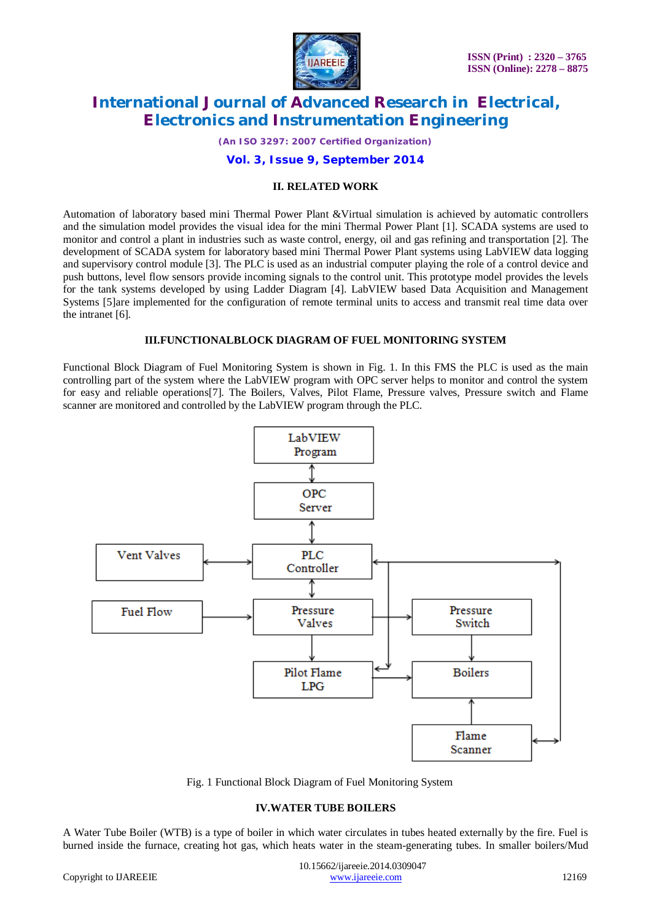

*(An ISO 3297: 2007 Certified Organization)*

#### **Vol. 3, Issue 9, September 2014**

#### **II. RELATED WORK**

Automation of laboratory based mini Thermal Power Plant &Virtual simulation is achieved by automatic controllers and the simulation model provides the visual idea for the mini Thermal Power Plant [1]. SCADA systems are used to monitor and control a plant in industries such as waste control, energy, oil and gas refining and transportation [2]. The development of SCADA system for laboratory based mini Thermal Power Plant systems using LabVIEW data logging and supervisory control module [3]. The PLC is used as an industrial computer playing the role of a control device and push buttons, level flow sensors provide incoming signals to the control unit. This prototype model provides the levels for the tank systems developed by using Ladder Diagram [4]. LabVIEW based Data Acquisition and Management Systems [5]are implemented for the configuration of remote terminal units to access and transmit real time data over the intranet [6].

#### **III.FUNCTIONALBLOCK DIAGRAM OF FUEL MONITORING SYSTEM**

Functional Block Diagram of Fuel Monitoring System is shown in Fig. 1. In this FMS the PLC is used as the main controlling part of the system where the LabVIEW program with OPC server helps to monitor and control the system for easy and reliable operations[7]. The Boilers, Valves, Pilot Flame, Pressure valves, Pressure switch and Flame scanner are monitored and controlled by the LabVIEW program through the PLC.



Fig. 1 Functional Block Diagram of Fuel Monitoring System

#### **IV.WATER TUBE BOILERS**

A Water Tube Boiler (WTB) is a type of boiler in which water circulates in tubes heated externally by the fire. Fuel is burned inside the furnace, creating hot gas, which heats water in the steam-generating tubes. In smaller boilers/Mud

 10.15662/ijareeie.2014.0309047 Copyright to IJAREEIE www.ijareeie.com 12169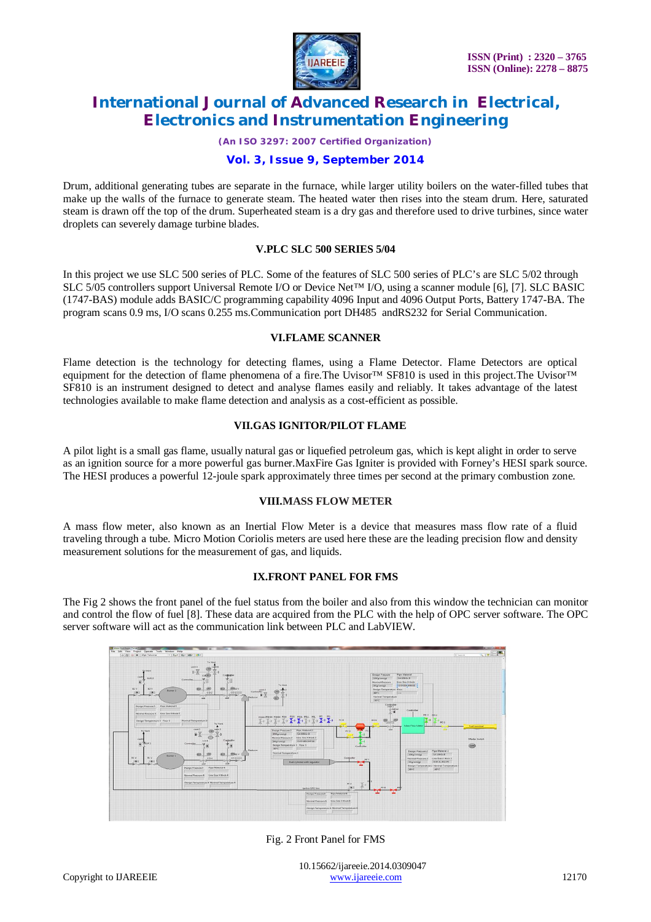

*(An ISO 3297: 2007 Certified Organization)*

## **Vol. 3, Issue 9, September 2014**

Drum, additional generating tubes are separate in the furnace, while larger utility boilers on the water-filled tubes that make up the walls of the furnace to generate steam. The heated water then rises into the steam drum. Here, saturated steam is drawn off the top of the drum. Superheated steam is a dry gas and therefore used to drive turbines, since water droplets can severely damage turbine blades.

#### **V.PLC SLC 500 SERIES 5/04**

In this project we use SLC 500 series of PLC. Some of the features of SLC 500 series of PLC's are SLC 5/02 through SLC 5/05 controllers support Universal Remote I/O or Device Net™ I/O, using a scanner module [6], [7]. SLC BASIC (1747-BAS) module adds BASIC/C programming capability 4096 Input and 4096 Output Ports, Battery 1747-BA. The program scans 0.9 ms, I/O scans 0.255 ms.Communication port DH485 andRS232 for Serial Communication.

#### **VI.FLAME SCANNER**

Flame detection is the technology for detecting flames, using a Flame Detector. Flame Detectors are optical equipment for the detection of flame phenomena of a fire.The Uvisor™ SF810 is used in this project.The Uvisor™ SF810 is an instrument designed to detect and analyse flames easily and reliably. It takes advantage of the latest technologies available to make flame detection and analysis as a cost-efficient as possible.

#### **VII.GAS IGNITOR/PILOT FLAME**

A pilot light is a small gas flame, usually natural gas or liquefied petroleum gas, which is kept alight in order to serve as an ignition source for a more powerful gas burner.MaxFire Gas Igniter is provided with Forney's HESI spark source. The HESI produces a powerful 12-joule spark approximately three times per second at the primary combustion zone.

## **VIII.MASS FLOW METER**

A mass flow meter, also known as an Inertial Flow Meter is a device that measures mass flow rate of a fluid traveling through a tube. Micro Motion Coriolis meters are used here these are the leading precision flow and density measurement solutions for the measurement of gas, and liquids.

## **IX.FRONT PANEL FOR FMS**

The Fig 2 shows the front panel of the fuel status from the boiler and also from this window the technician can monitor and control the flow of fuel [8]. These data are acquired from the PLC with the help of OPC server software. The OPC server software will act as the communication link between PLC and LabVIEW.



Fig. 2 Front Panel for FMS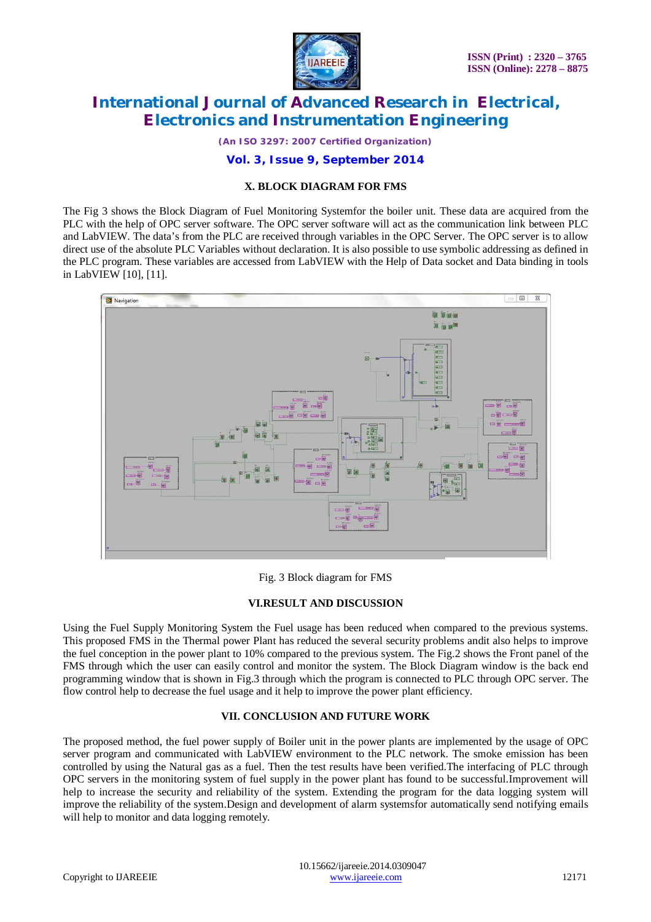

*(An ISO 3297: 2007 Certified Organization)*

### **Vol. 3, Issue 9, September 2014**

#### **X. BLOCK DIAGRAM FOR FMS**

The Fig 3 shows the Block Diagram of Fuel Monitoring Systemfor the boiler unit. These data are acquired from the PLC with the help of OPC server software. The OPC server software will act as the communication link between PLC and LabVIEW. The data's from the PLC are received through variables in the OPC Server. The OPC server is to allow direct use of the absolute PLC Variables without declaration. It is also possible to use symbolic addressing as defined in the PLC program. These variables are accessed from LabVIEW with the Help of Data socket and Data binding in tools in LabVIEW [10], [11].



Fig. 3 Block diagram for FMS

#### **VI.RESULT AND DISCUSSION**

Using the Fuel Supply Monitoring System the Fuel usage has been reduced when compared to the previous systems. This proposed FMS in the Thermal power Plant has reduced the several security problems andit also helps to improve the fuel conception in the power plant to 10% compared to the previous system. The Fig.2 shows the Front panel of the FMS through which the user can easily control and monitor the system. The Block Diagram window is the back end programming window that is shown in Fig.3 through which the program is connected to PLC through OPC server. The flow control help to decrease the fuel usage and it help to improve the power plant efficiency.

#### **VII. CONCLUSION AND FUTURE WORK**

The proposed method, the fuel power supply of Boiler unit in the power plants are implemented by the usage of OPC server program and communicated with LabVIEW environment to the PLC network. The smoke emission has been controlled by using the Natural gas as a fuel. Then the test results have been verified.The interfacing of PLC through OPC servers in the monitoring system of fuel supply in the power plant has found to be successful.Improvement will help to increase the security and reliability of the system. Extending the program for the data logging system will improve the reliability of the system.Design and development of alarm systemsfor automatically send notifying emails will help to monitor and data logging remotely.